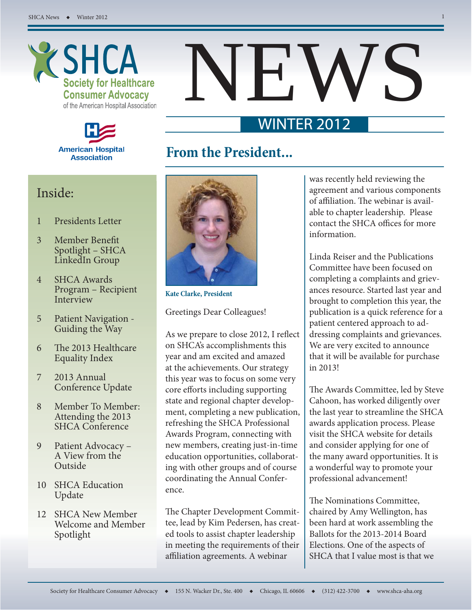



# NEWS

## WINTER 2012

## **From the President...**

### Inside:

- 1 Presidents Letter
- 3 Member Benefit Spotlight – SHCA LinkedIn Group
- 4 SHCA Awards Program – Recipient Interview
- 5 Patient Navigation Guiding the Way
- 6 The 2013 Healthcare Equality Index
- 7 2013 Annual Conference Update
- 8 Member To Member: Attending the 2013 SHCA Conference
- 9 Patient Advocacy A View from the Outside
- 10 SHCA Education Update
- 12 SHCA New Member Welcome and Member Spotlight



**Kate Clarke, President**

Greetings Dear Colleagues!

As we prepare to close 2012, I reflect on SHCA's accomplishments this year and am excited and amazed at the achievements. Our strategy this year was to focus on some very core efforts including supporting state and regional chapter development, completing a new publication, refreshing the SHCA Professional Awards Program, connecting with new members, creating just-in-time education opportunities, collaborating with other groups and of course coordinating the Annual Conference.

The Chapter Development Committee, lead by Kim Pedersen, has created tools to assist chapter leadership in meeting the requirements of their affiliation agreements. A webinar

was recently held reviewing the agreement and various components of affiliation. The webinar is available to chapter leadership. Please contact the SHCA offices for more information.

Linda Reiser and the Publications Committee have been focused on completing a complaints and grievances resource. Started last year and brought to completion this year, the publication is a quick reference for a patient centered approach to addressing complaints and grievances. We are very excited to announce that it will be available for purchase in 2013!

The Awards Committee, led by Steve Cahoon, has worked diligently over the last year to streamline the SHCA awards application process. Please visit the SHCA website for details and consider applying for one of the many award opportunities. It is a wonderful way to promote your professional advancement!

The Nominations Committee, chaired by Amy Wellington, has been hard at work assembling the Ballots for the 2013-2014 Board Elections. One of the aspects of SHCA that I value most is that we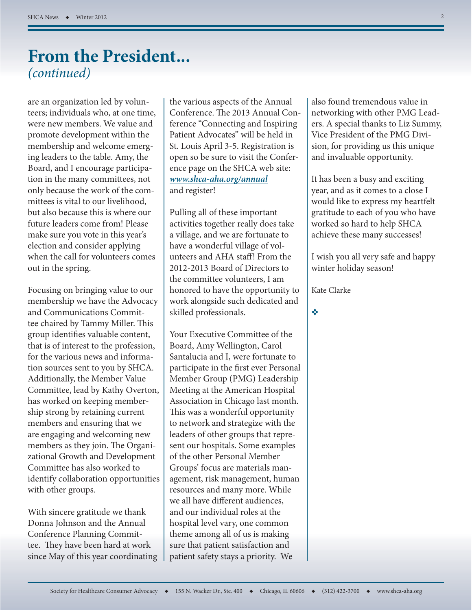## **From the President...** *(continued)*

are an organization led by volunteers; individuals who, at one time, were new members. We value and promote development within the membership and welcome emerging leaders to the table. Amy, the Board, and I encourage participation in the many committees, not only because the work of the committees is vital to our livelihood, but also because this is where our future leaders come from! Please make sure you vote in this year's election and consider applying when the call for volunteers comes out in the spring.

Focusing on bringing value to our membership we have the Advocacy and Communications Committee chaired by Tammy Miller. This group identifies valuable content, that is of interest to the profession, for the various news and information sources sent to you by SHCA. Additionally, the Member Value Committee, lead by Kathy Overton, has worked on keeping membership strong by retaining current members and ensuring that we are engaging and welcoming new members as they join. The Organizational Growth and Development Committee has also worked to identify collaboration opportunities with other groups.

With sincere gratitude we thank Donna Johnson and the Annual Conference Planning Committee. They have been hard at work since May of this year coordinating

the various aspects of the Annual Conference. The 2013 Annual Conference "Connecting and Inspiring Patient Advocates" will be held in St. Louis April 3-5. Registration is open so be sure to visit the Conference page on the SHCA web site: *www.shca-aha.org/annual* and register!

Pulling all of these important activities together really does take a village, and we are fortunate to have a wonderful village of volunteers and AHA staff ! From the 2012-2013 Board of Directors to the committee volunteers, I am honored to have the opportunity to work alongside such dedicated and skilled professionals.

Your Executive Committee of the Board, Amy Wellington, Carol Santalucia and I, were fortunate to participate in the first ever Personal Member Group (PMG) Leadership Meeting at the American Hospital Association in Chicago last month. This was a wonderful opportunity to network and strategize with the leaders of other groups that represent our hospitals. Some examples of the other Personal Member Groups' focus are materials management, risk management, human resources and many more. While we all have different audiences, and our individual roles at the hospital level vary, one common theme among all of us is making sure that patient satisfaction and patient safety stays a priority. We

also found tremendous value in networking with other PMG Leaders. A special thanks to Liz Summy, Vice President of the PMG Division, for providing us this unique and invaluable opportunity.

It has been a busy and exciting year, and as it comes to a close I would like to express my heartfelt gratitude to each of you who have worked so hard to help SHCA achieve these many successes!

I wish you all very safe and happy winter holiday season!

Kate Clarke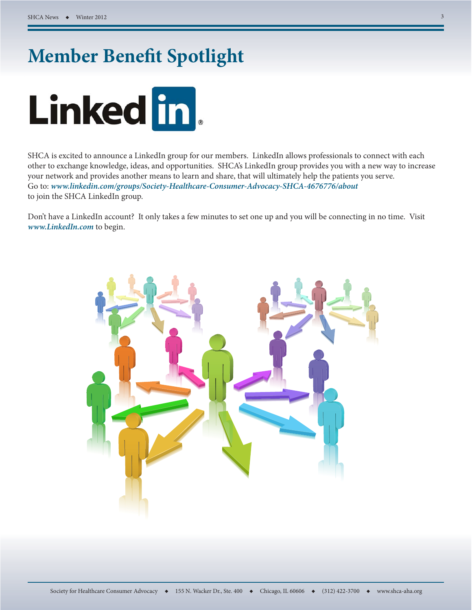# **Member Benefit Spotlight**



SHCA is excited to announce a LinkedIn group for our members. LinkedIn allows professionals to connect with each other to exchange knowledge, ideas, and opportunities. SHCA's LinkedIn group provides you with a new way to increase your network and provides another means to learn and share, that will ultimately help the patients you serve. Go to: *www.linkedin.com/groups/Society-Healthcare-Consumer-Advocacy-SHCA-4676776/about* to join the SHCA LinkedIn group.

Don't have a LinkedIn account? It only takes a few minutes to set one up and you will be connecting in no time. Visit *www.LinkedIn.com* to begin.

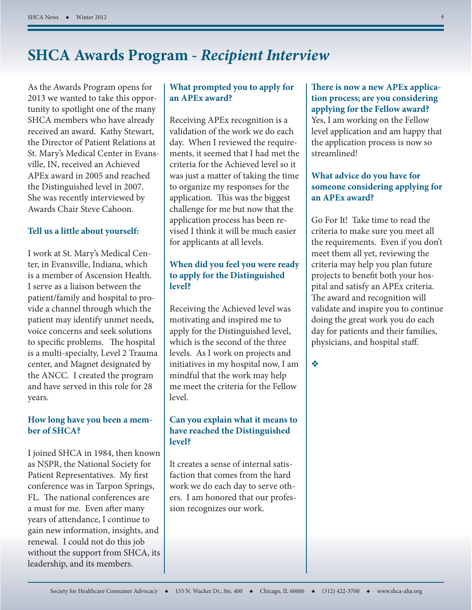## **SHCA Awards Program -** *Recipient Interview*

As the Awards Program opens for 2013 we wanted to take this opportunity to spotlight one of the many SHCA members who have already received an award. Kathy Stewart, the Director of Patient Relations at St. Mary's Medical Center in Evansville, IN, received an Achieved APEx award in 2005 and reached the Distinguished level in 2007. She was recently interviewed by Awards Chair Steve Cahoon.

#### **Tell us a little about yourself:**

I work at St. Mary's Medical Center, in Evansville, Indiana, which is a member of Ascension Health. I serve as a liaison between the patient/family and hospital to provide a channel through which the patient may identify unmet needs, voice concerns and seek solutions to specific problems. The hospital is a multi-specialty, Level 2 Trauma center, and Magnet designated by the ANCC. I created the program and have served in this role for 28 years.

#### **How long have you been a member of SHCA?**

I joined SHCA in 1984, then known as NSPR, the National Society for Patient Representatives. My first conference was in Tarpon Springs, FL. The national conferences are a must for me. Even after many years of attendance, I continue to gain new information, insights, and renewal. I could not do this job without the support from SHCA, its leadership, and its members.

#### **What prompted you to apply for an APEx award?**

Receiving APEx recognition is a validation of the work we do each day. When I reviewed the requirements, it seemed that I had met the criteria for the Achieved level so it was just a matter of taking the time to organize my responses for the application. This was the biggest challenge for me but now that the application process has been revised I think it will be much easier for applicants at all levels.

#### **When did you feel you were ready to apply for the Distinguished level?**

Receiving the Achieved level was motivating and inspired me to apply for the Distinguished level, which is the second of the three levels. As I work on projects and initiatives in my hospital now, I am mindful that the work may help me meet the criteria for the Fellow level.

#### **Can you explain what it means to have reached the Distinguished level?**

It creates a sense of internal satisfaction that comes from the hard work we do each day to serve others. I am honored that our profession recognizes our work.

**There is now a new APEx application process; are you considering applying for the Fellow award?**  Yes, I am working on the Fellow level application and am happy that the application process is now so streamlined!

#### **What advice do you have for someone considering applying for an APEx award?**

Go For It! Take time to read the criteria to make sure you meet all the requirements. Even if you don't meet them all yet, reviewing the criteria may help you plan future projects to benefit both your hospital and satisfy an APEx criteria. The award and recognition will validate and inspire you to continue doing the great work you do each day for patients and their families, physicians, and hospital staff.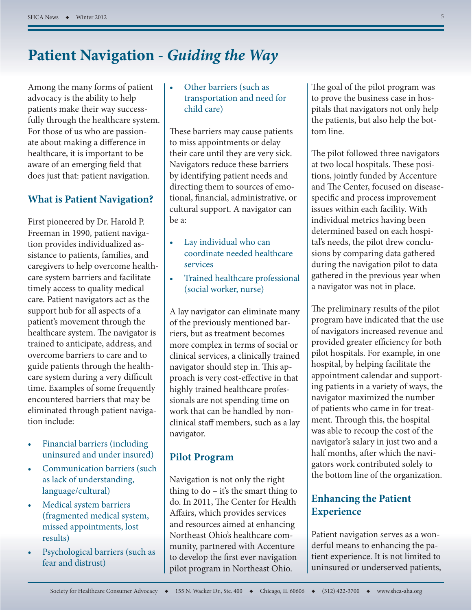## **Patient Navigation -** *Guiding the Way*

Among the many forms of patient advocacy is the ability to help patients make their way successfully through the healthcare system. For those of us who are passionate about making a difference in healthcare, it is important to be aware of an emerging field that does just that: patient navigation.

#### **What is Patient Navigation?**

First pioneered by Dr. Harold P. Freeman in 1990, patient navigation provides individualized assistance to patients, families, and caregivers to help overcome healthcare system barriers and facilitate timely access to quality medical care. Patient navigators act as the support hub for all aspects of a patient's movement through the healthcare system. The navigator is trained to anticipate, address, and overcome barriers to care and to guide patients through the healthcare system during a very difficult time. Examples of some frequently encountered barriers that may be eliminated through patient navigation include:

- Financial barriers (including uninsured and under insured)
- Communication barriers (such as lack of understanding, language/cultural)
- Medical system barriers (fragmented medical system, missed appointments, lost results)
- Psychological barriers (such as fear and distrust)

#### • Other barriers (such as transportation and need for child care)

These barriers may cause patients to miss appointments or delay their care until they are very sick. Navigators reduce these barriers by identifying patient needs and directing them to sources of emotional, financial, administrative, or cultural support. A navigator can be a:

- Lay individual who can coordinate needed healthcare services
- Trained healthcare professional (social worker, nurse)

A lay navigator can eliminate many of the previously mentioned barriers, but as treatment becomes more complex in terms of social or clinical services, a clinically trained navigator should step in. This approach is very cost-effective in that highly trained healthcare professionals are not spending time on work that can be handled by nonclinical staff members, such as a lay navigator.

#### **Pilot Program**

Navigation is not only the right thing to do – it's the smart thing to do. In 2011, The Center for Health Affairs, which provides services and resources aimed at enhancing Northeast Ohio's healthcare community, partnered with Accenture to develop the first ever navigation pilot program in Northeast Ohio.

The goal of the pilot program was to prove the business case in hospitals that navigators not only help the patients, but also help the bottom line.

The pilot followed three navigators at two local hospitals. These positions, jointly funded by Accenture and The Center, focused on diseasespecific and process improvement issues within each facility. With individual metrics having been determined based on each hospital's needs, the pilot drew conclusions by comparing data gathered during the navigation pilot to data gathered in the previous year when a navigator was not in place.

The preliminary results of the pilot program have indicated that the use of navigators increased revenue and provided greater efficiency for both pilot hospitals. For example, in one hospital, by helping facilitate the appointment calendar and supporting patients in a variety of ways, the navigator maximized the number of patients who came in for treatment. Through this, the hospital was able to recoup the cost of the navigator's salary in just two and a half months, after which the navigators work contributed solely to the bottom line of the organization.

#### **Enhancing the Patient Experience**

Patient navigation serves as a wonderful means to enhancing the patient experience. It is not limited to uninsured or underserved patients,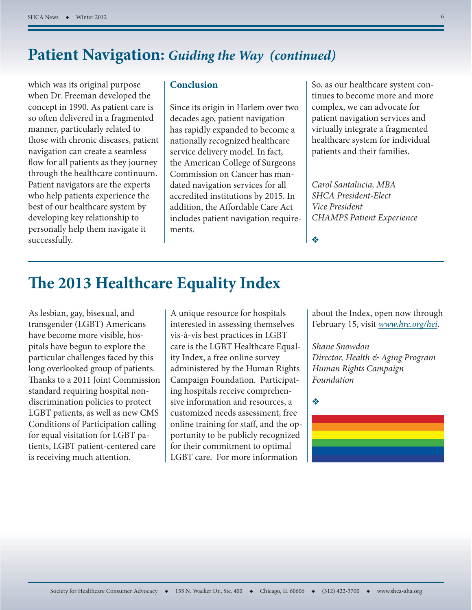## **Patient Navigation:** *Guiding the Way (continued)*

which was its original purpose when Dr. Freeman developed the concept in 1990. As patient care is so often delivered in a fragmented manner, particularly related to those with chronic diseases, patient navigation can create a seamless flow for all patients as they journey through the healthcare continuum. Patient navigators are the experts who help patients experience the best of our healthcare system by developing key relationship to personally help them navigate it successfully.

#### **Conclusion**

Since its origin in Harlem over two decades ago, patient navigation has rapidly expanded to become a nationally recognized healthcare service delivery model. In fact, the American College of Surgeons Commission on Cancer has mandated navigation services for all accredited institutions by 2015. In addition, the Affordable Care Act includes patient navigation requirements.

So, as our healthcare system continues to become more and more complex, we can advocate for patient navigation services and virtually integrate a fragmented healthcare system for individual patients and their families.

*Carol Santalucia, MBA SHCA President-Elect Vice President CHAMPS Patient Experience*

## **The 2013 Healthcare Equality Index**

As lesbian, gay, bisexual, and transgender (LGBT) Americans have become more visible, hospitals have begun to explore the particular challenges faced by this long overlooked group of patients. Thanks to a 2011 Joint Commission standard requiring hospital nondiscrimination policies to protect LGBT patients, as well as new CMS Conditions of Participation calling for equal visitation for LGBT patients, LGBT patient-centered care is receiving much attention.

A unique resource for hospitals interested in assessing themselves vis-à-vis best practices in LGBT care is the LGBT Healthcare Equality Index, a free online survey administered by the Human Rights Campaign Foundation. Participating hospitals receive comprehensive information and resources, a customized needs assessment, free online training for staff, and the opportunity to be publicly recognized for their commitment to optimal LGBT care. For more information

about the Index, open now through February 15, visit *www.hrc.org/hei*.

*Shane Snowdon Director, Health & Aging Program Human Rights Campaign Foundation*

❖

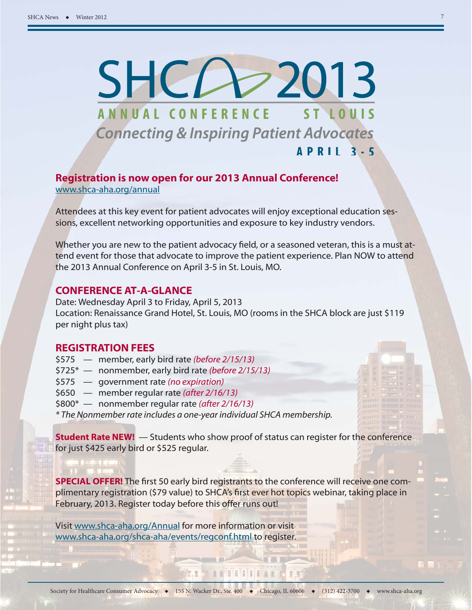# $SHC$  2013 ANNUAL CONFERENCE ST LOUIS **Connecting & Inspiring Patient Advocates APRIL 3-5**

#### **Registration is now open for our 2013 Annual Conference!**  www.shca-aha.org/annual

Attendees at this key event for patient advocates will enjoy exceptional education sessions, excellent networking opportunities and exposure to key industry vendors.

Whether you are new to the patient advocacy field, or a seasoned veteran, this is a must attend event for those that advocate to improve the patient experience. Plan NOW to attend the 2013 Annual Conference on April 3-5 in St. Louis, MO.

#### **CONFERENCE AT-A-GLANCE**

Date: Wednesday April 3 to Friday, April 5, 2013 Location: Renaissance Grand Hotel, St. Louis, MO (rooms in the SHCA block are just \$119 per night plus tax)

#### **REGISTRATION FEES**

- \$575 member, early bird rate *(before 2/15/13)*
- \$725\* nonmember, early bird rate *(before 2/15/13)*
- \$575 government rate *(no expiration)*
- \$650 member regular rate *(after 2/16/13)*
- \$800\* nonmember regular rate *(after 2/16/13)*

*\* The Nonmember rate includes a one-year individual SHCA membership.*

**Student Rate NEW!** — Students who show proof of status can register for the conference for just \$425 early bird or \$525 regular.

**SPECIAL OFFER!** The first 50 early bird registrants to the conference will receive one complimentary registration (\$79 value) to SHCA's first ever hot topics webinar, taking place in February, 2013. Register today before this offer runs out!

Visit www.shca-aha.org/Annual for more information or visit www.shca-aha.org/shca-aha/events/regconf.html to register.

THE HILL OF THE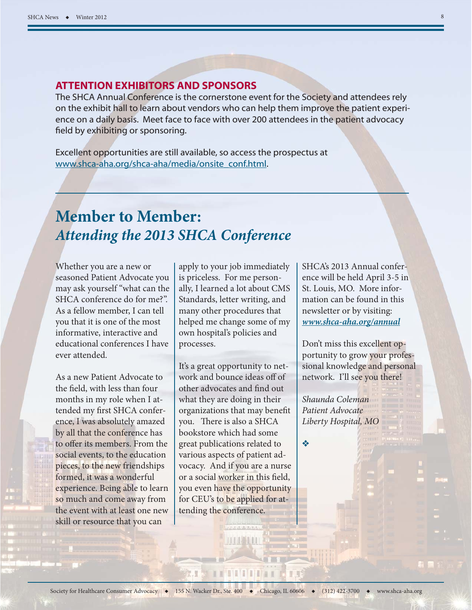#### **ATTENTION EXHIBITORS AND SPONSORS**

The SHCA Annual Conference is the cornerstone event for the Society and attendees rely on the exhibit hall to learn about vendors who can help them improve the patient experience on a daily basis. Meet face to face with over 200 attendees in the patient advocacy field by exhibiting or sponsoring.

Excellent opportunities are still available, so access the prospectus at www.shca-aha.org/shca-aha/media/onsite\_conf.html.

## **Member to Member:** *Attending the 2013 SHCA Conference*

Whether you are a new or seasoned Patient Advocate you may ask yourself "what can the SHCA conference do for me?". As a fellow member, I can tell you that it is one of the most informative, interactive and educational conferences I have ever attended.

As a new Patient Advocate to the field, with less than four months in my role when I attended my first SHCA conference, I was absolutely amazed by all that the conference has to offer its members. From the social events, to the education pieces, to the new friendships formed, it was a wonderful experience. Being able to learn so much and come away from the event with at least one new skill or resource that you can

apply to your job immediately is priceless. For me personally, I learned a lot about CMS Standards, letter writing, and many other procedures that helped me change some of my own hospital's policies and processes.

It's a great opportunity to network and bounce ideas off of other advocates and find out what they are doing in their organizations that may benefit you. There is also a SHCA bookstore which had some great publications related to various aspects of patient advocacy. And if you are a nurse or a social worker in this field, you even have the opportunity for CEU's to be applied for attending the conference.

SHCA's 2013 Annual conference will be held April 3-5 in St. Louis, MO. More information can be found in this newsletter or by visiting: *www.shca-aha.org/annual* 

Don't miss this excellent opportunity to grow your professional knowledge and personal network. I'll see you there!

*Shaunda Coleman Patient Advocate Liberty Hospital, MO*

❖

**TE AT THE THE REAL PROPERTY AND IN**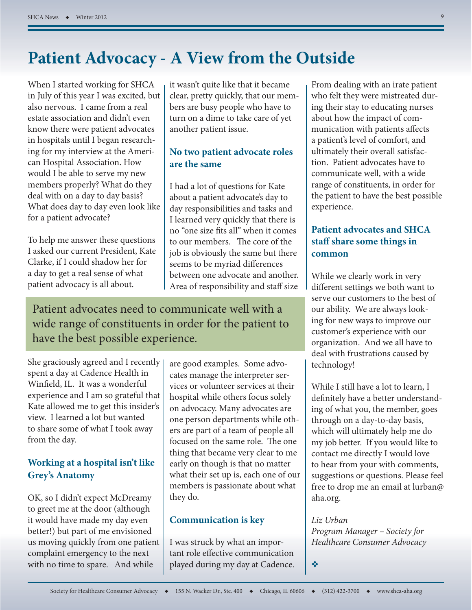## **Patient Advocacy - A View from the Outside**

When I started working for SHCA in July of this year I was excited, but also nervous. I came from a real estate association and didn't even know there were patient advocates in hospitals until I began researching for my interview at the American Hospital Association. How would I be able to serve my new members properly? What do they deal with on a day to day basis? What does day to day even look like for a patient advocate?

To help me answer these questions I asked our current President, Kate Clarke, if I could shadow her for a day to get a real sense of what patient advocacy is all about.

it wasn't quite like that it became clear, pretty quickly, that our members are busy people who have to turn on a dime to take care of yet another patient issue.

#### **No two patient advocate roles are the same**

I had a lot of questions for Kate about a patient advocate's day to day responsibilities and tasks and I learned very quickly that there is no "one size fits all" when it comes to our members. The core of the job is obviously the same but there seems to be myriad differences between one advocate and another. Area of responsibility and staff size

Patient advocates need to communicate well with a wide range of constituents in order for the patient to have the best possible experience.

She graciously agreed and I recently spent a day at Cadence Health in Winfield, IL. It was a wonderful experience and I am so grateful that Kate allowed me to get this insider's view. I learned a lot but wanted to share some of what I took away from the day.

#### **Working at a hospital isn't like Grey's Anatomy**

OK, so I didn't expect McDreamy to greet me at the door (although it would have made my day even better!) but part of me envisioned us moving quickly from one patient complaint emergency to the next with no time to spare. And while

are good examples. Some advocates manage the interpreter services or volunteer services at their hospital while others focus solely on advocacy. Many advocates are one person departments while others are part of a team of people all focused on the same role. The one thing that became very clear to me early on though is that no matter what their set up is, each one of our members is passionate about what they do.

#### **Communication is key**

I was struck by what an important role effective communication played during my day at Cadence. From dealing with an irate patient who felt they were mistreated during their stay to educating nurses about how the impact of communication with patients affects a patient's level of comfort, and ultimately their overall satisfaction. Patient advocates have to communicate well, with a wide range of constituents, in order for the patient to have the best possible experience.

#### **Patient advocates and SHCA staff share some things in common**

While we clearly work in very different settings we both want to serve our customers to the best of our ability. We are always looking for new ways to improve our customer's experience with our organization. And we all have to deal with frustrations caused by technology!

While I still have a lot to learn, I definitely have a better understanding of what you, the member, goes through on a day-to-day basis, which will ultimately help me do my job better. If you would like to contact me directly I would love to hear from your with comments, suggestions or questions. Please feel free to drop me an email at lurban@ aha.org.

*Liz Urban Program Manager – Society for Healthcare Consumer Advocacy*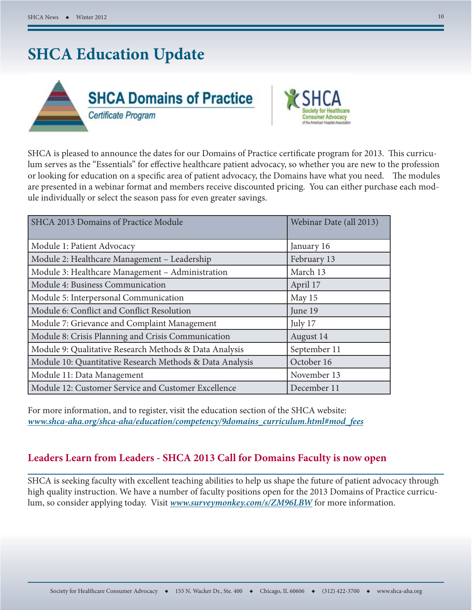## **SHCA Education Update**





SHCA is pleased to announce the dates for our Domains of Practice certificate program for 2013. This curriculum serves as the "Essentials" for effective healthcare patient advocacy, so whether you are new to the profession or looking for education on a specific area of patient advocacy, the Domains have what you need. The modules are presented in a webinar format and members receive discounted pricing. You can either purchase each module individually or select the season pass for even greater savings.

| SHCA 2013 Domains of Practice Module                     | Webinar Date (all 2013) |
|----------------------------------------------------------|-------------------------|
| Module 1: Patient Advocacy                               | January 16              |
| Module 2: Healthcare Management - Leadership             | February 13             |
| Module 3: Healthcare Management - Administration         | March 13                |
| Module 4: Business Communication                         | April 17                |
| Module 5: Interpersonal Communication                    | May 15                  |
| Module 6: Conflict and Conflict Resolution               | June 19                 |
| Module 7: Grievance and Complaint Management             | July 17                 |
| Module 8: Crisis Planning and Crisis Communication       | August 14               |
| Module 9: Qualitative Research Methods & Data Analysis   | September 11            |
| Module 10: Quantitative Research Methods & Data Analysis | October 16              |
| Module 11: Data Management                               | November 13             |
| Module 12: Customer Service and Customer Excellence      | December 11             |

For more information, and to register, visit the education section of the SHCA website: *www.shca-aha.org/shca-aha/education/competency/9domains\_curriculum.html#mod\_fees* 

#### **Leaders Learn from Leaders - SHCA 2013 Call for Domains Faculty is now open**

SHCA is seeking faculty with excellent teaching abilities to help us shape the future of patient advocacy through high quality instruction. We have a number of faculty positions open for the 2013 Domains of Practice curriculum, so consider applying today. Visit *www.surveymonkey.com/s/ZM96LBW* for more information.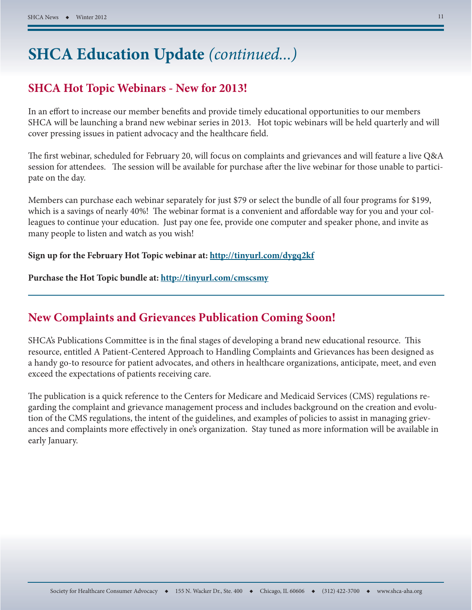## **SHCA Education Update** *(continued...)*

#### **SHCA Hot Topic Webinars - New for 2013!**

In an effort to increase our member benefits and provide timely educational opportunities to our members SHCA will be launching a brand new webinar series in 2013. Hot topic webinars will be held quarterly and will cover pressing issues in patient advocacy and the healthcare field.

The first webinar, scheduled for February 20, will focus on complaints and grievances and will feature a live Q&A session for attendees. The session will be available for purchase after the live webinar for those unable to participate on the day.

Members can purchase each webinar separately for just \$79 or select the bundle of all four programs for \$199, which is a savings of nearly 40%! The webinar format is a convenient and affordable way for you and your colleagues to continue your education. Just pay one fee, provide one computer and speaker phone, and invite as many people to listen and watch as you wish!

#### **Sign up for the February Hot Topic webinar at: http://tinyurl.com/dygq2kf**

**Purchase the Hot Topic bundle at: http://tinyurl.com/cmscsmy**

#### **New Complaints and Grievances Publication Coming Soon!**

SHCA's Publications Committee is in the final stages of developing a brand new educational resource. This resource, entitled A Patient-Centered Approach to Handling Complaints and Grievances has been designed as a handy go-to resource for patient advocates, and others in healthcare organizations, anticipate, meet, and even exceed the expectations of patients receiving care.

The publication is a quick reference to the Centers for Medicare and Medicaid Services (CMS) regulations regarding the complaint and grievance management process and includes background on the creation and evolution of the CMS regulations, the intent of the guidelines, and examples of policies to assist in managing grievances and complaints more effectively in one's organization. Stay tuned as more information will be available in early January.